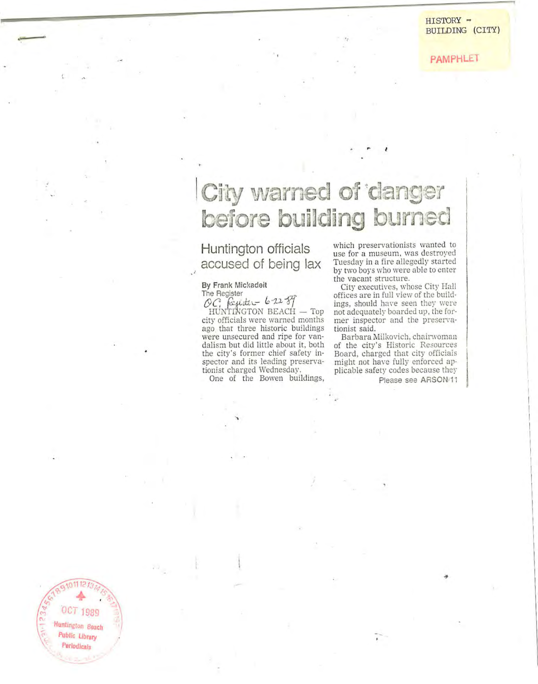# City warned of **'clanger** before building burned

## Huntington officials accused of being lax

### By Frank Mickadeit

The Register<br>OC, fegister - 6-22 *SJ* HUNTINGTON BEACH — Top **city officials were warned months**  ago that three historic buildings **were unsecured and ripe for van**dalism but did little about it, both the city's former chief safety in**spector and its leading preserva**tionist charged Wednesday.

One of the Bowen buildings,

**which preservationists wanted to use for a museum. was destroyed**  Tuesday in a fire allegedly started **by two bors who were able to enter the vacant structure.** 

City executives, whose City Hall offices are in full view of the buildings, should have seen they were not adequately boarded up , the former inspector and the preservationist said.

Ba rbara Milkovich, chairwoman **of the city's Historic Resources**  Board, charged that city officials might not have fully enforced applicable safety codes because they

Please see ARSON/11

OCT 1989 **... Huntington Beach**  Public Library **PerIodicals** 

189101112131415  $C_{1,2}$  **4** ...